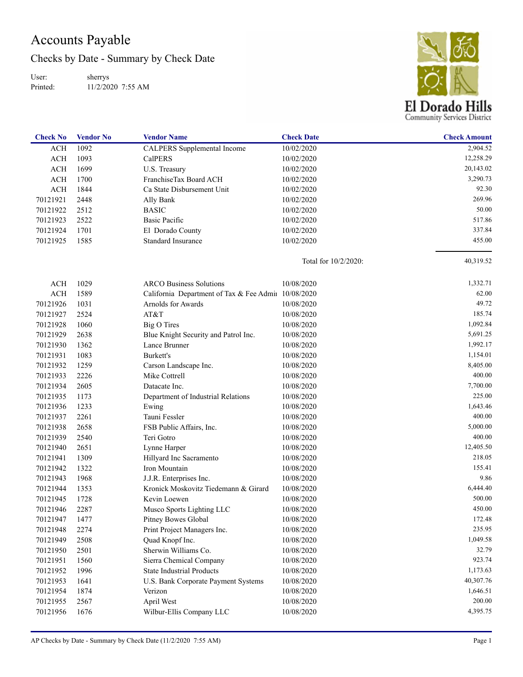## Accounts Payable

Checks by Date - Summary by Check Date

User: Printed: sherrys 11/2/2020 7:55 AM



| <b>Check No</b> | <b>Vendor No</b> | <b>Vendor Name</b>                                  | <b>Check Date</b>       | <b>Check Amount</b> |
|-----------------|------------------|-----------------------------------------------------|-------------------------|---------------------|
| <b>ACH</b>      | 1092             | CALPERS Supplemental Income                         | 10/02/2020              | 2,904.52            |
| ACH             | 1093             | <b>CalPERS</b>                                      | 10/02/2020              | 12,258.29           |
| <b>ACH</b>      | 1699             | U.S. Treasury                                       | 10/02/2020              | 20,143.02           |
| <b>ACH</b>      | 1700             | FranchiseTax Board ACH                              | 10/02/2020              | 3,290.73            |
| <b>ACH</b>      | 1844             | Ca State Disbursement Unit                          | 10/02/2020              | 92.30               |
| 70121921        | 2448             | Ally Bank                                           | 10/02/2020              | 269.96              |
| 70121922        | 2512             | <b>BASIC</b>                                        | 10/02/2020              | 50.00               |
| 70121923        | 2522             | <b>Basic Pacific</b>                                | 10/02/2020              | 517.86              |
| 70121924        | 1701             | El Dorado County                                    | 10/02/2020              | 337.84              |
| 70121925        | 1585             | <b>Standard Insurance</b>                           | 10/02/2020              | 455.00              |
|                 |                  |                                                     | Total for $10/2/2020$ : | 40,319.52           |
| <b>ACH</b>      | 1029             | <b>ARCO Business Solutions</b>                      | 10/08/2020              | 1,332.71            |
| <b>ACH</b>      | 1589             | California Department of Tax & Fee Admii 10/08/2020 |                         | 62.00               |
| 70121926        | 1031             | Arnolds for Awards                                  | 10/08/2020              | 49.72               |
| 70121927        | 2524             | AT&T                                                | 10/08/2020              | 185.74              |
| 70121928        | 1060             | <b>Big O Tires</b>                                  | 10/08/2020              | 1,092.84            |
| 70121929        | 2638             | Blue Knight Security and Patrol Inc.                | 10/08/2020              | 5,691.25            |
| 70121930        | 1362             | Lance Brunner                                       | 10/08/2020              | 1,992.17            |
| 70121931        | 1083             | Burkett's                                           | 10/08/2020              | 1,154.01            |
| 70121932        | 1259             | Carson Landscape Inc.                               | 10/08/2020              | 8,405.00            |
| 70121933        | 2226             | Mike Cottrell                                       | 10/08/2020              | 400.00              |
| 70121934        | 2605             | Datacate Inc.                                       | 10/08/2020              | 7,700.00            |
| 70121935        | 1173             | Department of Industrial Relations                  | 10/08/2020              | 225.00              |
| 70121936        | 1233             | Ewing                                               | 10/08/2020              | 1,643.46            |
| 70121937        | 2261             | Tauni Fessler                                       | 10/08/2020              | 400.00              |
| 70121938        | 2658             | FSB Public Affairs, Inc.                            | 10/08/2020              | 5,000.00            |
| 70121939        | 2540             | Teri Gotro                                          | 10/08/2020              | 400.00              |
| 70121940        | 2651             | Lynne Harper                                        | 10/08/2020              | 12,405.50           |
| 70121941        | 1309             | Hillyard Inc Sacramento                             | 10/08/2020              | 218.05              |
| 70121942        | 1322             | Iron Mountain                                       | 10/08/2020              | 155.41              |
| 70121943        | 1968             | J.J.R. Enterprises Inc.                             | 10/08/2020              | 9.86                |
| 70121944        | 1353             | Kronick Moskovitz Tiedemann & Girard                | 10/08/2020              | 6,444.40            |
| 70121945        | 1728             | Kevin Loewen                                        | 10/08/2020              | 500.00              |
| 70121946        | 2287             | Musco Sports Lighting LLC                           | 10/08/2020              | 450.00              |
| 70121947        | 1477             | Pitney Bowes Global                                 | 10/08/2020              | 172.48              |
| 70121948        | 2274             | Print Project Managers Inc.                         | 10/08/2020              | 235.95              |
| 70121949        | 2508             | Quad Knopf Inc.                                     | 10/08/2020              | 1,049.58            |
| 70121950        | 2501             | Sherwin Williams Co.                                | 10/08/2020              | 32.79               |
| 70121951        | 1560             | Sierra Chemical Company                             | 10/08/2020              | 923.74              |
| 70121952        | 1996             | <b>State Industrial Products</b>                    | 10/08/2020              | 1,173.63            |
| 70121953        | 1641             | U.S. Bank Corporate Payment Systems                 | 10/08/2020              | 40,307.76           |
| 70121954        | 1874             | Verizon                                             | 10/08/2020              | 1,646.51            |
| 70121955        | 2567             | April West                                          | 10/08/2020              | 200.00              |
| 70121956        | 1676             | Wilbur-Ellis Company LLC                            | 10/08/2020              | 4,395.75            |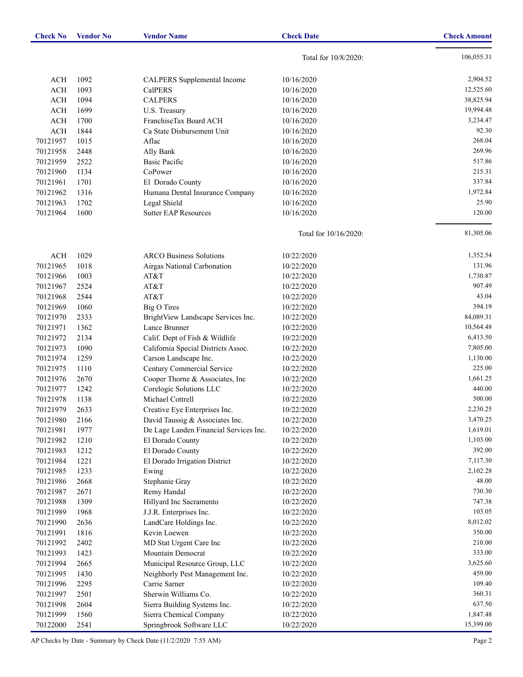| <b>Check No</b> | <b>Vendor No</b> | <b>Vendor Name</b>                     | <b>Check Date</b>     | <b>Check Amount</b> |
|-----------------|------------------|----------------------------------------|-----------------------|---------------------|
|                 |                  |                                        | Total for 10/8/2020:  | 106,055.31          |
| <b>ACH</b>      | 1092             | CALPERS Supplemental Income            | 10/16/2020            | 2,904.52            |
| ACH             | 1093             | <b>CalPERS</b>                         | 10/16/2020            | 12,525.60           |
| <b>ACH</b>      | 1094             | <b>CALPERS</b>                         | 10/16/2020            | 38,825.94           |
| <b>ACH</b>      | 1699             | U.S. Treasury                          | 10/16/2020            | 19,994.48           |
| <b>ACH</b>      | 1700             | FranchiseTax Board ACH                 | 10/16/2020            | 3,234.47            |
| <b>ACH</b>      | 1844             | Ca State Disbursement Unit             | 10/16/2020            | 92.30               |
| 70121957        | 1015             | Aflac                                  | 10/16/2020            | 268.04              |
| 70121958        | 2448             | Ally Bank                              | 10/16/2020            | 269.96              |
| 70121959        | 2522             | <b>Basic Pacific</b>                   | 10/16/2020            | 517.86              |
| 70121960        | 1134             | CoPower                                | 10/16/2020            | 215.31              |
| 70121961        | 1701             | El Dorado County                       | 10/16/2020            | 337.84              |
| 70121962        | 1316             | Humana Dental Insurance Company        | 10/16/2020            | 1,972.84            |
| 70121963        | 1702             | Legal Shield                           | 10/16/2020            | 25.90               |
| 70121964        | 1600             | <b>Sutter EAP Resources</b>            | 10/16/2020            | 120.00              |
|                 |                  |                                        |                       |                     |
|                 |                  |                                        | Total for 10/16/2020: | 81,305.06           |
| <b>ACH</b>      | 1029             | <b>ARCO Business Solutions</b>         | 10/22/2020            | 1,352.54            |
| 70121965        | 1018             | Airgas National Carbonation            | 10/22/2020            | 131.96              |
| 70121966        | 1003             | AT&T                                   | 10/22/2020            | 1,730.87            |
| 70121967        | 2524             | AT&T                                   | 10/22/2020            | 907.49              |
| 70121968        | 2544             | AT&T                                   | 10/22/2020            | 43.04               |
| 70121969        | 1060             | <b>Big O Tires</b>                     | 10/22/2020            | 394.19              |
| 70121970        | 2333             | BrightView Landscape Services Inc.     | 10/22/2020            | 84,089.31           |
| 70121971        | 1362             | Lance Brunner                          | 10/22/2020            | 10,564.48           |
| 70121972        | 2134             | Calif. Dept of Fish & Wildlife         | 10/22/2020            | 6,413.50            |
| 70121973        | 1090             | California Special Districts Assoc.    | 10/22/2020            | 7,805.00            |
| 70121974        | 1259             | Carson Landscape Inc.                  | 10/22/2020            | 1,130.00            |
| 70121975        | 1110             | Century Commercial Service             | 10/22/2020            | 225.00              |
| 70121976        | 2670             | Cooper Thorne & Associates, Inc        | 10/22/2020            | 1,661.25            |
| 70121977        | 1242             | Corelogic Solutions LLC                | 10/22/2020            | 440.00              |
| 70121978        | 1138             | Michael Cottrell                       | 10/22/2020            | 500.00              |
| 70121979        | 2633             | Creative Eye Enterprises Inc.          | 10/22/2020            | 2,230.25            |
| 70121980        | 2166             | David Taussig & Associates Inc.        | 10/22/2020            | 3,470.25            |
| 70121981        | 1977             | De Lage Landen Financial Services Inc. | 10/22/2020            | 1,619.01            |
| 70121982        | 1210             | El Dorado County                       | 10/22/2020            | 1,103.00            |
| 70121983        | 1212             | El Dorado County                       | 10/22/2020            | 392.00              |
| 70121984        | 1221             | El Dorado Irrigation District          | 10/22/2020            | 7,117.30            |
| 70121985        | 1233             | Ewing                                  | 10/22/2020            | 2,102.28            |
| 70121986        | 2668             | Stephanie Gray                         | 10/22/2020            | 48.00               |
| 70121987        | 2671             | Remy Handal                            | 10/22/2020            | 730.30              |
| 70121988        | 1309             | Hillyard Inc Sacramento                | 10/22/2020            | 747.38              |
| 70121989        | 1968             | J.J.R. Enterprises Inc.                | 10/22/2020            | 103.05              |
| 70121990        | 2636             | LandCare Holdings Inc.                 | 10/22/2020            | 8,012.02            |
| 70121991        | 1816             | Kevin Loewen                           | 10/22/2020            | 350.00              |
| 70121992        | 2402             | MD Stat Urgent Care Inc                | 10/22/2020            | 210.00              |
| 70121993        | 1423             | Mountain Democrat                      | 10/22/2020            | 333.00              |
| 70121994        | 2665             | Municipal Resource Group, LLC          | 10/22/2020            | 3,625.60            |
| 70121995        | 1430             | Neighborly Pest Management Inc.        | 10/22/2020            | 459.00              |
| 70121996        | 2295             | Carrie Sarner                          | 10/22/2020            | 109.40              |
| 70121997        | 2501             | Sherwin Williams Co.                   | 10/22/2020            | 360.31              |
| 70121998        | 2604             | Sierra Building Systems Inc.           | 10/22/2020            | 637.50              |
| 70121999        | 1560             | Sierra Chemical Company                | 10/22/2020            | 1,847.48            |
| 70122000        | 2541             | Springbrook Software LLC               | 10/22/2020            | 15,399.00           |